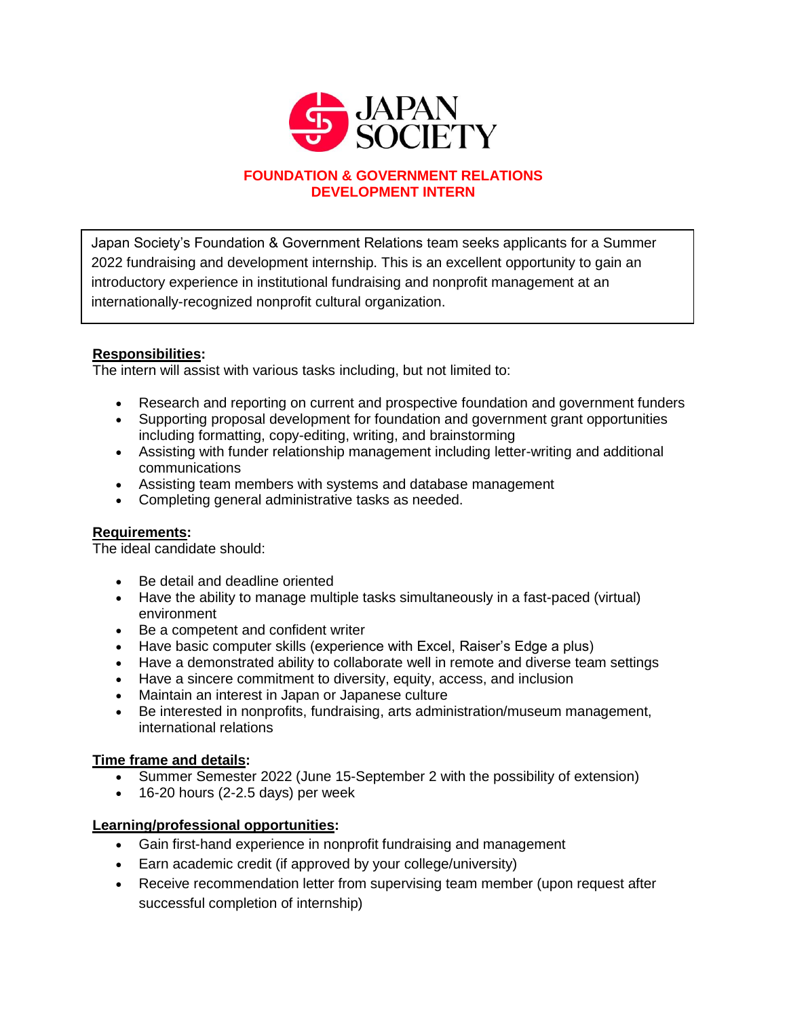

# **FOUNDATION & GOVERNMENT RELATIONS DEVELOPMENT INTERN**

Japan Society's Foundation & Government Relations team seeks applicants for a Summer 2022 fundraising and development internship. This is an excellent opportunity to gain an introductory experience in institutional fundraising and nonprofit management at an internationally-recognized nonprofit cultural organization.

# **Responsibilities:**

The intern will assist with various tasks including, but not limited to:

- Research and reporting on current and prospective foundation and government funders
- Supporting proposal development for foundation and government grant opportunities including formatting, copy-editing, writing, and brainstorming
- Assisting with funder relationship management including letter-writing and additional communications
- Assisting team members with systems and database management
- Completing general administrative tasks as needed.

## **Requirements:**

The ideal candidate should:

- Be detail and deadline oriented
- Have the ability to manage multiple tasks simultaneously in a fast-paced (virtual) environment
- Be a competent and confident writer
- Have basic computer skills (experience with Excel, Raiser's Edge a plus)
- Have a demonstrated ability to collaborate well in remote and diverse team settings
- Have a sincere commitment to diversity, equity, access, and inclusion
- Maintain an interest in Japan or Japanese culture
- Be interested in nonprofits, fundraising, arts administration/museum management, international relations

# **Time frame and details:**

- Summer Semester 2022 (June 15-September 2 with the possibility of extension)
- $\bullet$  16-20 hours (2-2.5 days) per week

## **Learning/professional opportunities:**

- Gain first-hand experience in nonprofit fundraising and management
- Earn academic credit (if approved by your college/university)
- Receive recommendation letter from supervising team member (upon request after successful completion of internship)